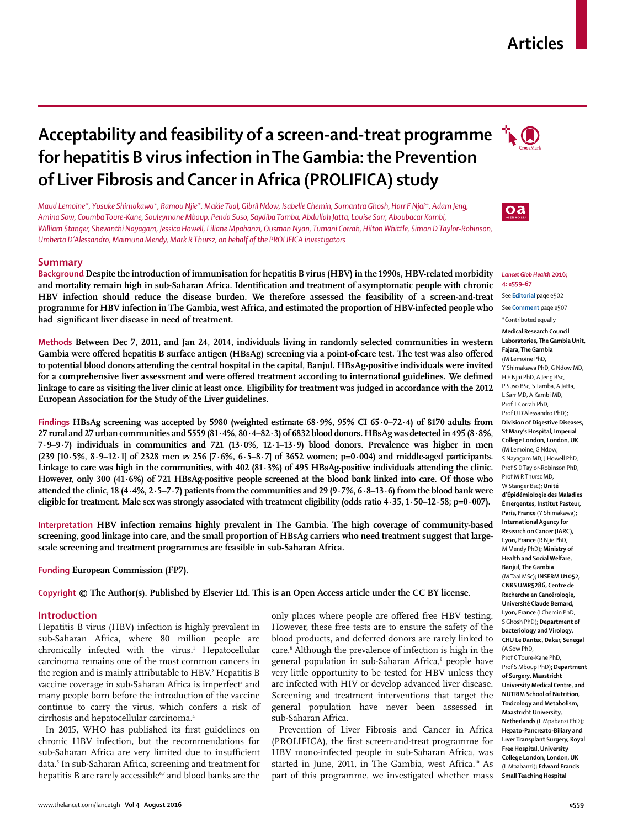# **Articles**

# **Acceptability and feasibility of a screen-and-treat programme for hepatitis B virus infection in The Gambia: the Prevention of Liver Fibrosis and Cancer in Africa (PROLIFICA) study**

*Maud Lemoine\*, Yusuke Shimakawa\*, Ramou Njie\*, Makie Taal, Gibril Ndow, Isabelle Chemin, Sumantra Ghosh, Harr F Njai*†*, Adam Jeng, Amina Sow, Coumba Toure-Kane, Souleymane Mboup, Penda Suso, Saydiba Tamba, Abdullah Jatta, Louise Sarr, Aboubacar Kambi, William Stanger, Shevanthi Nayagam, Jessica Howell, Liliane Mpabanzi, Ousman Nyan, Tumani Corrah, Hilton Whittle, Simon D Taylor-Robinson, Umberto D'Alessandro, Maimuna Mendy, Mark R Thursz, on behalf of the PROLIFICA investigators*

# **Summary**

**Background Despite the introduction of immunisation for hepatitis B virus (HBV) in the 1990s, HBV-related morbidity**  and mortality remain high in sub-Saharan Africa. Identification and treatment of asymptomatic people with chronic **HBV infection should reduce the disease burden. We therefore assessed the feasibility of a screen-and-treat programme for HBV infection in The Gambia, west Africa, and estimated the proportion of HBV-infected people who**  had significant liver disease in need of treatment.

**Methods Between Dec 7, 2011, and Jan 24, 2014, individuals living in randomly selected communities in western**  Gambia were offered hepatitis B surface antigen (HBsAg) screening via a point-of-care test. The test was also offered **to potential blood donors attending the central hospital in the capital, Banjul. HBsAg-positive individuals were invited**  for a comprehensive liver assessment and were offered treatment according to international guidelines. We defined **linkage to care as visiting the liver clinic at least once. Eligibility for treatment was judged in accordance with the 2012 European Association for the Study of the Liver guidelines.**

**Findings HBsAg screening was accepted by 5980 (weighted estimate 68·9%, 95% CI 65·0–72·4) of 8170 adults from 27 rural and 27 urban communities and 5559 (81·4%, 80·4–82·3) of 6832 blood donors. HBsAg was detected in 495 (8·8%, 7·9–9·7) individuals in communities and 721 (13·0%, 12·1–13·9) blood donors. Prevalence was higher in men (239 [10·5%, 8·9–12·1] of 2328 men** *vs* **256 [7·6%, 6·5–8·7] of 3652 women; p=0·004) and middle-aged participants. Linkage to care was high in the communities, with 402 (81·3%) of 495 HBsAg-positive individuals attending the clinic. However, only 300 (41·6%) of 721 HBsAg-positive people screened at the blood bank linked into care. Of those who attended the clinic, 18 (4·4%, 2·5–7·7) patients from the communities and 29 (9·7%, 6·8–13·6) from the blood bank were eligible for treatment. Male sex was strongly associated with treatment eligibility (odds ratio 4·35, 1·50–12·58; p=0·007).**

**Interpretation HBV infection remains highly prevalent in The Gambia. The high coverage of community-based screening, good linkage into care, and the small proportion of HBsAg carriers who need treatment suggest that largescale screening and treatment programmes are feasible in sub-Saharan Africa.**

**Funding European Commission (FP7).**

**Copyright © The Author(s). Published by Elsevier Ltd. This is an Open Access article under the CC BY license.**

# **Introduction**

Hepatitis B virus (HBV) infection is highly prevalent in sub-Saharan Africa, where 80 million people are chronically infected with the virus.<sup>1</sup> Hepatocellular carcinoma remains one of the most common cancers in the region and is mainly attributable to HBV.<del>'</del> Hepatitis B vaccine coverage in sub-Saharan Africa is imperfect<sup>3</sup> and many people born before the introduction of the vaccine continue to carry the virus, which confers a risk of cirrhosis and hepatocellular carcinoma.<sup>4</sup>

In 2015, WHO has published its first guidelines on chronic HBV infection, but the recommendations for sub-Saharan Africa are very limited due to insufficient data.5 In sub-Saharan Africa, screening and treatment for hepatitis B are rarely accessible<sup>6,7</sup> and blood banks are the

only places where people are offered free HBV testing. However, these free tests are to ensure the safety of the blood products, and deferred donors are rarely linked to care.<sup>8</sup> Although the prevalence of infection is high in the general population in sub-Saharan Africa,<sup>9</sup> people have very little opportunity to be tested for HBV unless they are infected with HIV or develop advanced liver disease. Screening and treatment interventions that target the general population have never been assessed in sub-Saharan Africa.

Prevention of Liver Fibrosis and Cancer in Africa (PROLIFICA), the first screen-and-treat programme for HBV mono-infected people in sub-Saharan Africa, was started in June, 2011, in The Gambia, west Africa.<sup>10</sup> As part of this programme, we investigated whether mass





 $oa$ 

#### *Lancet Glob Health* **2016; 4: e559–67**

See **Editorial** page e502

See **Comment** page e507

**Medical Research Council Laboratories, The Gambia Unit, Fajara, The Gambia**  (M Lemoine PhD, Y Shimakawa PhD, G Ndow MD, H F Njai PhD, A Jeng BSc, P Suso BSc, S Tamba, A Jatta, L Sarr MD, A Kambi MD, Prof T Corrah PhD, Prof U D'Alessandro PhD)**; Division of Digestive Diseases, St Mary's Hospital, Imperial College London, London, UK**  (M Lemoine, G Ndow, S Nayagam MD, J Howell PhD, Prof S D Taylor-Robinson PhD, Prof M R Thursz MD, W Stanger Bsc)**; Unité d'Épidémiologie des Maladies Émergentes, Institut Pasteur, Paris, France** (Y Shimakawa)**; International Agency for Research on Cancer (IARC), Lyon, France** (R Njie PhD, M Mendy PhD)**; Ministry of Health and Social Welfare, Banjul, The Gambia**  (M Taal MSc)**; INSERM U1052, CNRS UMR5286, Centre de Recherche en Cancérologie, Université Claude Bernard, Lyon, France** (I Chemin PhD, S Ghosh PhD)**; Department of bacteriology and Virology, CHU Le Dantec, Dakar, Senegal**  (A Sow PhD, Prof C Toure-Kane PhD, Prof S Mboup PhD)**; Department of Surgery, Maastricht University Medical Centre, and NUTRIM School of Nutrition, Toxicology and Metabolism, Maastricht University, Netherlands** (L Mpabanzi PhD)**; Hepato-Pancreato-Biliary and** 

**Liver Transplant Surgery, Royal Free Hospital, University College London, London, UK**  (L Mpabanzi)**; Edward Francis Small Teaching Hospital**

<sup>\*</sup>Contributed equally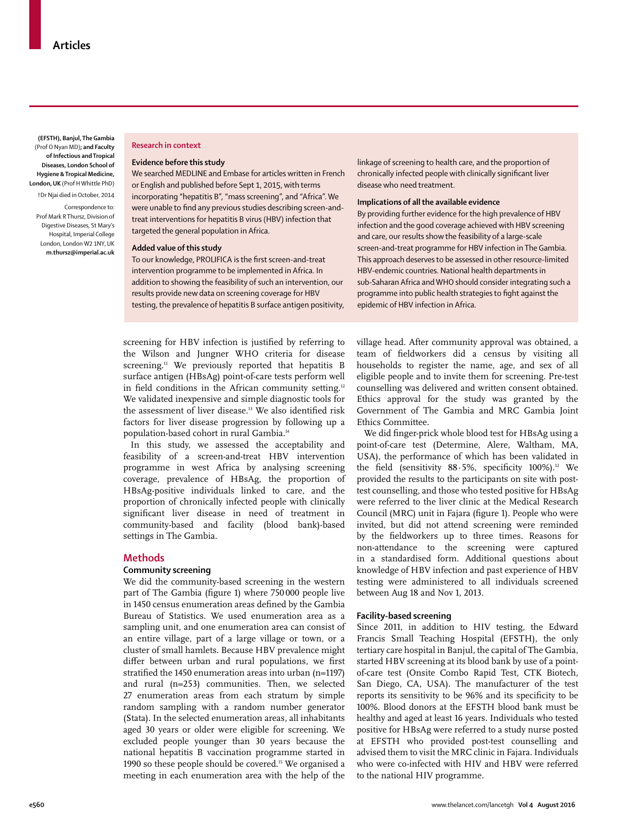**(EFSTH), Banjul, The Gambia**  (Prof O Nyan MD)**; and Faculty of Infectious and Tropical Diseases, London School of Hygiene & Tropical Medicine, London, UK** (Prof H Whittle PhD)

†Dr Njai died in October, 2014

Correspondence to: Prof Mark R Thursz, Division of Digestive Diseases, St Mary's Hospital, Imperial College London, London W2 1NY, UK **m.thursz@imperial.ac.uk**

# **Research in context**

## **Evidence before this study**

We searched MEDLINE and Embase for articles written in French or English and published before Sept 1, 2015, with terms incorporating "hepatitis B", "mass screening", and "Africa". We were unable to find any previous studies describing screen-andtreat interventions for hepatitis B virus (HBV) infection that targeted the general population in Africa.

## **Added value of this study**

To our knowledge, PROLIFICA is the first screen-and-treat intervention programme to be implemented in Africa. In addition to showing the feasibility of such an intervention, our results provide new data on screening coverage for HBV testing, the prevalence of hepatitis B surface antigen positivity, linkage of screening to health care, and the proportion of chronically infected people with clinically significant liver disease who need treatment.

# **Implications of all the available evidence**

By providing further evidence for the high prevalence of HBV infection and the good coverage achieved with HBV screening and care, our results show the feasibility of a large-scale screen-and-treat programme for HBV infection in The Gambia. This approach deserves to be assessed in other resource-limited HBV-endemic countries. National health departments in sub-Saharan Africa and WHO should consider integrating such a programme into public health strategies to fight against the epidemic of HBV infection in Africa.

screening for HBV infection is justified by referring to the Wilson and Jungner WHO criteria for disease screening.<sup>11</sup> We previously reported that hepatitis B surface antigen (HBsAg) point-of-care tests perform well in field conditions in the African community setting.<sup>12</sup> We validated inexpensive and simple diagnostic tools for the assessment of liver disease.<sup>13</sup> We also identified risk factors for liver disease progression by following up a population-based cohort in rural Gambia.14

In this study, we assessed the acceptability and feasibility of a screen-and-treat HBV intervention programme in west Africa by analysing screening coverage, prevalence of HBsAg, the proportion of HBsAg-positive individuals linked to care, and the proportion of chronically infected people with clinically significant liver disease in need of treatment in community-based and facility (blood bank)-based settings in The Gambia.

# **Methods**

## **Community screening**

We did the community-based screening in the western part of The Gambia (figure 1) where 750000 people live in 1450 census enumeration areas defined by the Gambia Bureau of Statistics. We used enumeration area as a sampling unit, and one enumeration area can consist of an entire village, part of a large village or town, or a cluster of small hamlets. Because HBV prevalence might differ between urban and rural populations, we first stratified the 1450 enumeration areas into urban (n=1197) and rural (n=253) communities. Then, we selected 27 enumeration areas from each stratum by simple random sampling with a random number generator (Stata). In the selected enumeration areas, all inhabitants aged 30 years or older were eligible for screening. We excluded people younger than 30 years because the national hepatitis B vaccination programme started in 1990 so these people should be covered.<sup>15</sup> We organised a meeting in each enumeration area with the help of the village head. After community approval was obtained, a team of fieldworkers did a census by visiting all households to register the name, age, and sex of all eligible people and to invite them for screening. Pre-test counselling was delivered and written consent obtained. Ethics approval for the study was granted by the Government of The Gambia and MRC Gambia Joint Ethics Committee.

We did finger-prick whole blood test for HBsAg using a point-of-care test (Determine, Alere, Waltham, MA, USA), the performance of which has been validated in the field (sensitivity  $88.5\%$ , specificity  $100\%$ ).<sup>12</sup> We provided the results to the participants on site with posttest counselling, and those who tested positive for HBsAg were referred to the liver clinic at the Medical Research Council (MRC) unit in Fajara (figure 1). People who were invited, but did not attend screening were reminded by the fieldworkers up to three times. Reasons for non-attendance to the screening were captured in a standardised form. Additional questions about knowledge of HBV infection and past experience of HBV testing were administered to all individuals screened between Aug 18 and Nov 1, 2013.

# **Facility-based screening**

Since 2011, in addition to HIV testing, the Edward Francis Small Teaching Hospital (EFSTH), the only tertiary care hospital in Banjul, the capital of The Gambia, started HBV screening at its blood bank by use of a pointof-care test (Onsite Combo Rapid Test, CTK Biotech, San Diego, CA, USA). The manufacturer of the test reports its sensitivity to be 96% and its specificity to be 100%. Blood donors at the EFSTH blood bank must be healthy and aged at least 16 years. Individuals who tested positive for HBsAg were referred to a study nurse posted at EFSTH who provided post-test counselling and advised them to visit the MRC clinic in Fajara. Individuals who were co-infected with HIV and HBV were referred to the national HIV programme.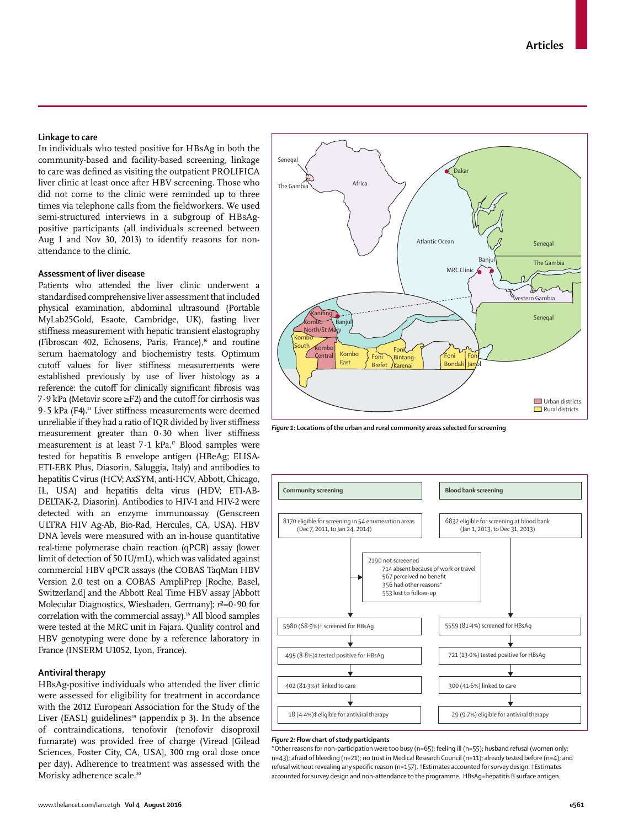# **Linkage to care**

In individuals who tested positive for HBsAg in both the community-based and facility-based screening, linkage to care was defined as visiting the outpatient PROLIFICA liver clinic at least once after HBV screening. Those who did not come to the clinic were reminded up to three times via telephone calls from the fieldworkers. We used semi-structured interviews in a subgroup of HBsAgpositive participants (all individuals screened between Aug 1 and Nov 30, 2013) to identify reasons for nonattendance to the clinic.

# **Assessment of liver disease**

Patients who attended the liver clinic underwent a standardised comprehensive liver assessment that included physical examination, abdominal ultrasound (Portable MyLab25Gold, Esaote, Cambridge, UK), fasting liver stiffness measurement with hepatic transient elastography (Fibroscan 402, Echosens, Paris, France), $16$  and routine serum haematology and biochemistry tests. Optimum cutoff values for liver stiffness measurements were established previously by use of liver histology as a reference: the cutoff for clinically significant fibrosis was 7·9 kPa (Metavir score ≥F2) and the cutoff for cirrhosis was 9.5 kPa (F4).<sup>13</sup> Liver stiffness measurements were deemed unreliable if they had a ratio of IQR divided by liver stiffness measurement greater than  $0.30$  when liver stiffness measurement is at least  $7.1$  kPa.<sup>17</sup> Blood samples were tested for hepatitis B envelope antigen (HBeAg; ELISA-ETI-EBK Plus, Diasorin, Saluggia, Italy) and antibodies to hepatitis C virus (HCV; AxSYM, anti-HCV, Abbott, Chicago, IL, USA) and hepatitis delta virus (HDV; ETI-AB-DELTAK-2, Diasorin). Antibodies to HIV-1 and HIV-2 were detected with an enzyme immunoassay (Genscreen ULTRA HIV Ag-Ab, Bio-Rad, Hercules, CA, USA). HBV DNA levels were measured with an in-house quantitative real-time polymerase chain reaction (qPCR) assay (lower limit of detection of 50 IU/mL), which was validated against commercial HBV qPCR assays (th**e** COBAS TaqMan HBV Version 2.0 test on a COBAS AmpliPrep [Roche, Basel, Switzerland] and the Abbott Real Time HBV assay [Abbott Molecular Diagnostics, Wiesbaden, Germany]; *r*²=0·90 for correlation with the commercial assay).<sup>18</sup> All blood samples were tested at the MRC unit in Fajara. Quality control and HBV genotyping were done by a reference laboratory in France (INSERM U1052, Lyon, France).

# **Antiviral therapy**

HBsAg-positive individuals who attended the liver clinic were assessed for eligibility for treatment in accordance with the 2012 European Association for the Study of the Liver (EASL) guidelines<sup>19</sup> (appendix  $p$  3). In the absence of contraindications, tenofovir (tenofovir disoproxil fumarate) was provided free of charge (Viread [Gilead Sciences, Foster City, CA, USA], 300 mg oral dose once per day). Adherence to treatment was assessed with the Morisky adherence scale.<sup>20</sup>



*Figure 1:* **Locations of the urban and rural community areas selected for screening**



#### *Figure 2:* **Flow chart of study participants**

\*Other reasons for non-participation were too busy (n=65); feeling ill (n=55); husband refusal (women only; n=43); afraid of bleeding (n=21); no trust in Medical Research Council (n=11); already tested before (n=4); and refusal without revealing any specific reason (n=157). †Estimates accounted for survey design. ‡Estimates accounted for survey design and non-attendance to the programme. HBsAg=hepatitis B surface antigen.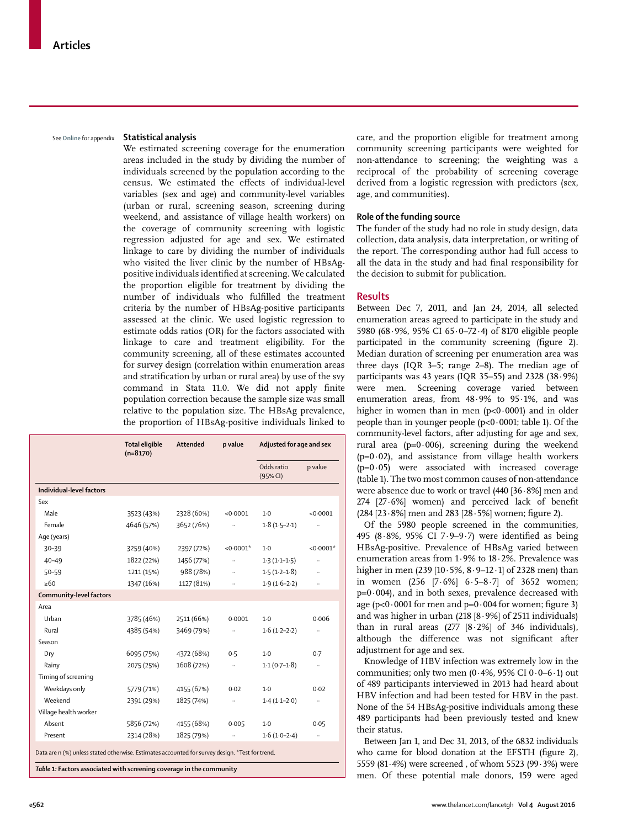See **Online** for appendix

#### **Statistical analysis**

We estimated screening coverage for the enumeration areas included in the study by dividing the number of individuals screened by the population according to the census. We estimated the effects of individual-level variables (sex and age) and community-level variables (urban or rural, screening season, screening during weekend, and assistance of village health workers) on the coverage of community screening with logistic regression adjusted for age and sex. We estimated linkage to care by dividing the number of individuals who visited the liver clinic by the number of HBsAgpositive individuals identified at screening. We calculated the proportion eligible for treatment by dividing the number of individuals who fulfilled the treatment criteria by the number of HBsAg-positive participants assessed at the clinic. We used logistic regression to estimate odds ratios (OR) for the factors associated with linkage to care and treatment eligibility. For the community screening, all of these estimates accounted for survey design (correlation within enumeration areas and stratification by urban or rural area) by use of the svy command in Stata 11.0. We did not apply finite population correction because the sample size was small relative to the population size. The HBsAg prevalence, the proportion of HBsAg-positive individuals linked to

|                                                                                                                                                                                   | <b>Total eligible</b><br>$(n=8170)$ | Attended   | p value     | Adjusted for age and sex |             |  |
|-----------------------------------------------------------------------------------------------------------------------------------------------------------------------------------|-------------------------------------|------------|-------------|--------------------------|-------------|--|
|                                                                                                                                                                                   |                                     |            |             | Odds ratio<br>(95% CI)   | p value     |  |
| Individual-level factors                                                                                                                                                          |                                     |            |             |                          |             |  |
| Sex                                                                                                                                                                               |                                     |            |             |                          |             |  |
| Male                                                                                                                                                                              | 3523 (43%)                          | 2328 (60%) | < 0.0001    | $1-0$                    | < 0.0001    |  |
| Female                                                                                                                                                                            | 4646 (57%)                          | 3652 (76%) |             | $1.8(1.5-2.1)$           |             |  |
| Age (years)                                                                                                                                                                       |                                     |            |             |                          |             |  |
| $30 - 39$                                                                                                                                                                         | 3259 (40%)                          | 2397 (72%) | $< 0.0001*$ | $1-0$                    | $< 0.0001*$ |  |
| $40 - 49$                                                                                                                                                                         | 1822 (22%)                          | 1456 (77%) | u,          | $1.3(1.1-1.5)$           |             |  |
| $50 - 59$                                                                                                                                                                         | 1211 (15%)                          | 988 (78%)  |             | $1.5(1.2-1.8)$           |             |  |
| $\geq 60$                                                                                                                                                                         | 1347 (16%)                          | 1127 (81%) |             | $1.9(1.6-2.2)$           |             |  |
| <b>Community-level factors</b>                                                                                                                                                    |                                     |            |             |                          |             |  |
| Area                                                                                                                                                                              |                                     |            |             |                          |             |  |
| Urban                                                                                                                                                                             | 3785 (46%)                          | 2511 (66%) | 0.0001      | $1-0$                    | 0.006       |  |
| Rural                                                                                                                                                                             | 4385 (54%)                          | 3469 (79%) |             | $1.6(1.2-2.2)$           |             |  |
| Season                                                                                                                                                                            |                                     |            |             |                          |             |  |
| Dry                                                                                                                                                                               | 6095 (75%)                          | 4372 (68%) | 0.5         | $1-0$                    | 0.7         |  |
| Rainy                                                                                                                                                                             | 2075 (25%)                          | 1608 (72%) | н.          | $1.1(0.7-1.8)$           | $\ldots$    |  |
| Timing of screening                                                                                                                                                               |                                     |            |             |                          |             |  |
| Weekdays only                                                                                                                                                                     | 5779 (71%)                          | 4155 (67%) | 0.02        | $1-0$                    | 0.02        |  |
| Weekend                                                                                                                                                                           | 2391 (29%)                          | 1825 (74%) | $\ldots$    | $1.4(1.1-2.0)$           | $\ldots$    |  |
| Village health worker                                                                                                                                                             |                                     |            |             |                          |             |  |
| Absent                                                                                                                                                                            | 5856 (72%)                          | 4155 (68%) | 0.005       | $1-0$                    | 0.05        |  |
| Present                                                                                                                                                                           | 2314 (28%)                          | 1825 (79%) |             | $1.6(1.0-2.4)$           |             |  |
| Data are n (%) unless stated otherwise. Estimates accounted for survey design. *Test for trend.<br>a change d'actuale a concert de la procession de la partie de la<br>エントレンス・エンス |                                     |            |             |                          |             |  |

*Table 1:* **Factors associated with screening coverage in the community** 

care, and the proportion eligible for treatment among community screening participants were weighted for non-attendance to screening; the weighting was a reciprocal of the probability of screening coverage derived from a logistic regression with predictors (sex, age, and communities).

## **Role of the funding source**

The funder of the study had no role in study design, data collection, data analysis, data interpretation, or writing of the report. The corresponding author had full access to all the data in the study and had final responsibility for the decision to submit for publication.

# **Results**

Between Dec 7, 2011, and Jan 24, 2014, all selected enumeration areas agreed to participate in the study and 5980 (68·9%, 95% CI 65·0–72·4) of 8170 eligible people participated in the community screening (figure 2). Median duration of screening per enumeration area was three days (IQR 3–5; range 2–8). The median age of participants was 43 years (IQR 35-55) and 2328  $(38.9%)$ were men. Screening coverage varied between enumeration areas, from 48·9% to 95·1%, and was higher in women than in men  $(p<0.0001)$  and in older people than in younger people  $(p<0.0001$ ; table 1). Of the community-level factors, after adjusting for age and sex, rural area ( $p=0.006$ ), screening during the weekend  $(p=0.02)$ , and assistance from village health workers  $(p=0.05)$  were associated with increased coverage (table 1). The two most common causes of non-attendance were absence due to work or travel (440 [36·8%] men and  $274$   $[27.6\%]$  women) and perceived lack of benefit  $(284 [23.8\%]$  men and  $283 [28.5\%]$  women; figure 2).

Of the 5980 people screened in the communities, 495 (8.8%, 95% CI 7.9-9.7) were identified as being HBsAg-positive. Prevalence of HBsAg varied between enumeration areas from 1·9% to 18·2%. Prevalence was higher in men (239 [10·5%, 8·9–12·1] of 2328 men) than in women (256 [7·6%] 6·5–8·7] of 3652 women;  $p=0.004$ ), and in both sexes, prevalence decreased with age ( $p<0.0001$  for men and  $p=0.004$  for women; figure 3) and was higher in urban  $(218 [8.9\%]$  of 2511 individuals) than in rural areas  $(277 \, [8 \cdot 2\%]$  of 346 individuals), although the difference was not significant after adjustment for age and sex.

Knowledge of HBV infection was extremely low in the communities; only two men (0.4%, 95% CI  $0.0-6.1$ ) out of 489 participants interviewed in 2013 had heard about HBV infection and had been tested for HBV in the past. None of the 54 HBsAg-positive individuals among these 489 participants had been previously tested and knew their status.

Between Jan 1, and Dec 31, 2013, of the 6832 individuals who came for blood donation at the EFSTH (figure 2), 5559 (81·4%) were screened , of whom 5523 (99·3%) were men. Of these potential male donors, 159 were aged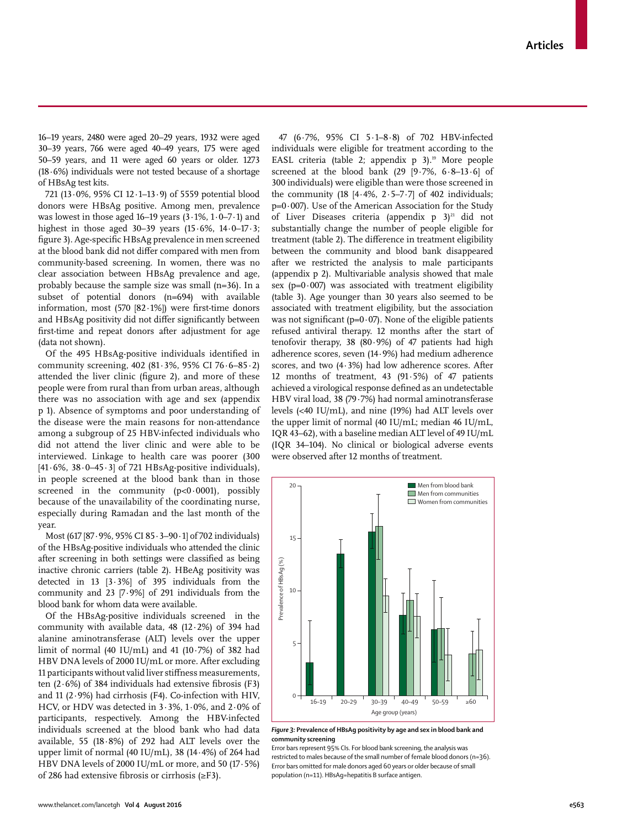16–19 years, 2480 were aged 20–29 years, 1932 were aged 30–39 years, 766 were aged 40–49 years, 175 were aged 50–59 years, and 11 were aged 60 years or older. 1273 (18·6%) individuals were not tested because of a shortage of HBsAg test kits.

721 (13·0%, 95% CI 12·1–13·9) of 5559 potential blood donors were HBsAg positive. Among men, prevalence was lowest in those aged  $16-19$  years  $(3.1\%, 1.0-7.1)$  and highest in those aged  $30-39$  years  $(15.6\%, 14.0-17.3;$ figure 3). Age-specific HBsAg prevalence in men screened at the blood bank did not differ compared with men from community-based screening. In women, there was no clear association between HBsAg prevalence and age, probably because the sample size was small (n=36). In a subset of potential donors (n=694) with available information, most (570 [82 $\cdot$ 1%]) were first-time donors and HBsAg positivity did not differ significantly between first-time and repeat donors after adjustment for age (data not shown).

Of the 495 HBsAg-positive individuals identified in community screening, 402 (81·3%, 95% CI 76·6–85·2) attended the liver clinic (figure 2), and more of these people were from rural than from urban areas, although there was no association with age and sex (appendix p 1). Absence of symptoms and poor understanding of the disease were the main reasons for non-attendance among a subgroup of 25 HBV-infected individuals who did not attend the liver clinic and were able to be interviewed. Linkage to health care was poorer (300 [41·6%, 38·0–45·3] of 721 HBsAg-positive individuals), in people screened at the blood bank than in those screened in the community  $(p<0.0001)$ , possibly because of the unavailability of the coordinating nurse, especially during Ramadan and the last month of the year.

Most (617 [87·9%, 95% CI 85·3–90·1] of 702 individuals) of the HBsAg-positive individuals who attended the clinic after screening in both settings were classified as being inactive chronic carriers (table 2). HBeAg positivity was detected in 13 [3·3%] of 395 individuals from the community and 23  $[7.9\%]$  of 291 individuals from the blood bank for whom data were available.

Of the HBsAg-positive individuals screened in the community with available data, 48 (12·2%) of 394 had alanine aminotransferase (ALT) levels over the upper limit of normal (40 IU/mL) and 41 (10·7%) of 382 had HBV DNA levels of 2000 IU/mL or more. After excluding 11 participants without valid liver stiffness measurements, ten  $(2.6\%)$  of 384 individuals had extensive fibrosis (F3) and 11 (2 $\cdot$ 9%) had cirrhosis (F4). Co-infection with HIV, HCV, or HDV was detected in 3·3%, 1·0%, and 2·0% of participants, respectively. Among the HBV-infected individuals screened at the blood bank who had data available, 55 (18·8%) of 292 had ALT levels over the upper limit of normal (40 IU/mL), 38 (14·4%) of 264 had HBV DNA levels of 2000 IU/mL or more, and 50 (17·5%) of 286 had extensive fibrosis or cirrhosis  $(\geq$ F3).

47 (6·7%, 95% CI 5·1–8·8) of 702 HBV-infected individuals were eligible for treatment according to the EASL criteria (table 2; appendix p 3).<sup>19</sup> More people screened at the blood bank (29  $[9.7\%$ ,  $6.8-13.6]$  of 300 individuals) were eligible than were those screened in the community (18  $[4.4\%, 2.5-7.7]$  of 402 individuals;  $p=0.007$ ). Use of the American Association for the Study of Liver Diseases criteria (appendix  $p$  3)<sup>21</sup> did not substantially change the number of people eligible for treatment (table 2). The difference in treatment eligibility between the community and blood bank disappeared after we restricted the analysis to male participants (appendix p 2). Multivariable analysis showed that male sex ( $p=0.007$ ) was associated with treatment eligibility (table 3). Age younger than 30 years also seemed to be associated with treatment eligibility, but the association was not significant ( $p=0.07$ ). None of the eligible patients refused antiviral therapy. 12 months after the start of tenofovir therapy, 38 (80·9%) of 47 patients had high adherence scores, seven (14·9%) had medium adherence scores, and two (4·3%) had low adherence scores. After 12 months of treatment, 43 (91·5%) of 47 patients achieved a virological response defined as an undetectable HBV viral load, 38 (79·7%) had normal aminotransferase levels (<40 IU/mL), and nine (19%) had ALT levels over the upper limit of normal (40 IU/mL; median 46 IU/mL, IQR 43–62), with a baseline median ALT level of 49 IU/mL (IQR 34–104). No clinical or biological adverse events were observed after 12 months of treatment.



*Figure 3:* **Prevalence of HBsAg positivity by age and sex in blood bank and community screening**

Error bars represent 95% CIs. For blood bank screening, the analysis was restricted to males because of the small number of female blood donors (n=36). Error bars omitted for male donors aged 60 years or older because of small population (n=11). HBsAg=hepatitis B surface antigen.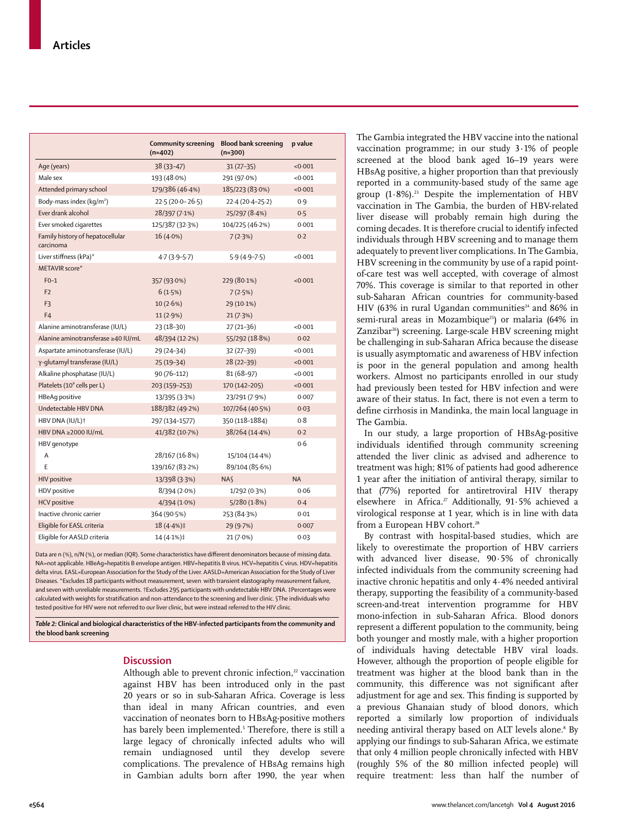|                                               | Community screening<br>$(n=402)$ | <b>Blood bank screening</b><br>$(n=300)$ | p value   |
|-----------------------------------------------|----------------------------------|------------------------------------------|-----------|
| Age (years)                                   | 38 (33-47)                       | $31(27-35)$                              | < 0.001   |
| Male sex                                      | 193 (48.0%)                      | 291 (97.0%)                              | < 0.001   |
| Attended primary school                       | 179/386 (46.4%)                  | 185/223 (83.0%)                          | < 0.001   |
| Body-mass index (kg/m <sup>2</sup> )          | $22.5(20.0 - 26.5)$              | $22.4(20.4-25.2)$                        | 0.9       |
| Ever drank alcohol                            | 28/397 (7.1%)                    | 25/297 (8.4%)                            | 0.5       |
| Ever smoked cigarettes                        | 125/387 (32.3%)                  | 104/225 (46.2%)                          | 0.001     |
| Family history of hepatocellular<br>carcinoma | $16(4.0\%)$                      | 7(2.3%)                                  | 0.2       |
| Liver stiffness (kPa)*                        | $4.7(3.9 - 5.7)$                 | $5.9(4.9 - 7.5)$                         | < 0.001   |
| METAVIR score*                                |                                  |                                          |           |
| $F0-1$                                        | 357 (93.0%)                      | 229 (80.1%)                              | < 0.001   |
| F <sub>2</sub>                                | 6(1.5%)                          | 7(2.5%)                                  |           |
| F3                                            | 10(2.6%)                         | 29 (10.1%)                               |           |
| F <sub>4</sub>                                | 11(2.9%)                         | 21(7.3%)                                 |           |
| Alanine aminotransferase (IU/L)               | $23(18-30)$                      | $27(21-36)$                              | < 0.001   |
| Alanine aminotransferase ≥40 IU/mL            | 48/394 (12.2%)                   | 55/292 (18.8%)                           | 0.02      |
| Aspartate aminotransferase (IU/L)             | 29 (24–34)                       | 32 (27-39)                               | < 0.001   |
| γ-glutamyl transferase (IU/L)                 | $25(19-34)$                      | $28(22-39)$                              | < 0.001   |
| Alkaline phosphatase (IU/L)                   | $90(76-112)$                     | 81 (68-97)                               | < 0.001   |
| Platelets (10° cells per L)                   | 203 (159-253)                    | 170 (142-205)                            | < 0.001   |
| HBeAq positive                                | 13/395 (3·3%)                    | 23/291 (7.9%)                            | 0.007     |
| Undetectable HBV DNA                          | 188/382 (49.2%)                  | 107/264 (40.5%)                          | 0.03      |
| HBV DNA (IU/L)+                               | 297 (134-1577)                   | 350 (118-1884)                           | 0.8       |
| HBV DNA ≥2000 IU/mL                           | 41/382 (10.7%)                   | 38/264 (14.4%)                           | 0.2       |
| HBV genotype                                  |                                  |                                          | 0.6       |
| A                                             | 28/167 (16.8%)                   | 15/104 (14-4%)                           |           |
| F                                             | 139/167 (83.2%)                  | 89/104 (85.6%)                           |           |
| <b>HIV positive</b>                           | 13/398 (3.3%)                    | <b>NA</b>                                | <b>NA</b> |
| HDV positive                                  | 8/394(2.0%)                      | 1/292 (0.3%)                             | 0.06      |
| <b>HCV</b> positive                           | 4/394(1.0%)                      | 5/280(1.8%)                              | 0.4       |
| Inactive chronic carrier                      | 364 (90.5%)                      | 253 (84-3%)                              | 0.01      |
| Eligible for EASL criteria                    | 18 (4.4%)‡                       | 29 (9.7%)                                | 0.007     |
| Eligible for AASLD criteria                   | 14 (4.1%)‡                       | 21 (7.0%)                                | 0.03      |

Data are n (%), n/N (%), or median (IQR). Some characteristics have different denominators because of missing data NA=not applicable. HBeAg=hepatitis B envelope antigen. HBV=hepatitis B virus. HCV=hepatitis C virus. HDV=hepatitis delta virus. EASL=European Association for the Study of the Liver. AASLD=American Association for the Study of Liver Diseases. \*Excludes 18 participants without measurement, seven with transient elastography measurement failure, and seven with unreliable measurements. †Excludes 295 participants with undetectable HBV DNA. ‡Percentages were calculated with weights for stratification and non-attendance to the screening and liver clinic. §The individuals who tested positive for HIV were not referred to our liver clinic, but were instead referred to the HIV clinic.

*Table 2:* **Clinical and biological characteristics of the HBV-infected participants from the community and the blood bank screening** 

# **Discussion**

Although able to prevent chronic infection,<sup>22</sup> vaccination against HBV has been introduced only in the past 20 years or so in sub-Saharan Africa. Coverage is less than ideal in many African countries, and even vaccination of neonates born to HBsAg-positive mothers has barely been implemented.<sup>5</sup> Therefore, there is still a large legacy of chronically infected adults who will remain undiagnosed until they develop severe complications. The prevalence of HBsAg remains high in Gambian adults born after 1990, the year when

The Gambia integrated the HBV vaccine into the national vaccination programme; in our study 3·1% of people screened at the blood bank aged 16–19 years were HBsAg positive, a higher proportion than that previously reported in a community-based study of the same age group  $(1.8\%)$ .<sup>23</sup> Despite the implementation of HBV vaccination in The Gambia, the burden of HBV-related liver disease will probably remain high during the coming decades. It is therefore crucial to identify infected individuals through HBV screening and to manage them adequately to prevent liver complications. In The Gambia, HBV screening in the community by use of a rapid pointof-care test was well accepted, with coverage of almost 70%. This coverage is similar to that reported in other sub-Saharan African countries for community-based HIV (63% in rural Ugandan communities<sup>24</sup> and 86% in semi-rural areas in Mozambique<sup>25</sup>) or malaria (64% in Zanzibar<sup>26</sup>) screening. Large-scale HBV screening might be challenging in sub-Saharan Africa because the disease is usually asymptomatic and awareness of HBV infection is poor in the general population and among health workers. Almost no participants enrolled in our study had previously been tested for HBV infection and were aware of their status. In fact, there is not even a term to define cirrhosis in Mandinka, the main local language in The Gambia.

In our study, a large proportion of HBsAg-positive individuals identified through community screening attended the liver clinic as advised and adherence to treatment was high; 81% of patients had good adherence 1 year after the initiation of antiviral therapy, similar to that (77%) reported for antiretroviral HIV therapy elsewhere in Africa.<sup>27</sup> Additionally, 91.5% achieved a virological response at 1 year, which is in line with data from a European HBV cohort.<sup>28</sup>

By contrast with hospital-based studies, which are likely to overestimate the proportion of HBV carriers with advanced liver disease, 90·5% of chronically infected individuals from the community screening had inactive chronic hepatitis and only 4·4% needed antiviral therapy, supporting the feasibility of a community-based screen-and-treat intervention programme for HBV mono-infection in sub-Saharan Africa. Blood donors represent a different population to the community, being both younger and mostly male, with a higher proportion of individuals having detectable HBV viral loads. However, although the proportion of people eligible for treatment was higher at the blood bank than in the community, this difference was not significant after adjustment for age and sex. This finding is supported by a previous Ghanaian study of blood donors, which reported a similarly low proportion of individuals needing antiviral therapy based on ALT levels alone.<sup>8</sup> By applying our findings to sub-Saharan Africa, we estimate that only 4 million people chronically infected with HBV (roughly 5% of the 80 million infected people) will require treatment: less than half the number of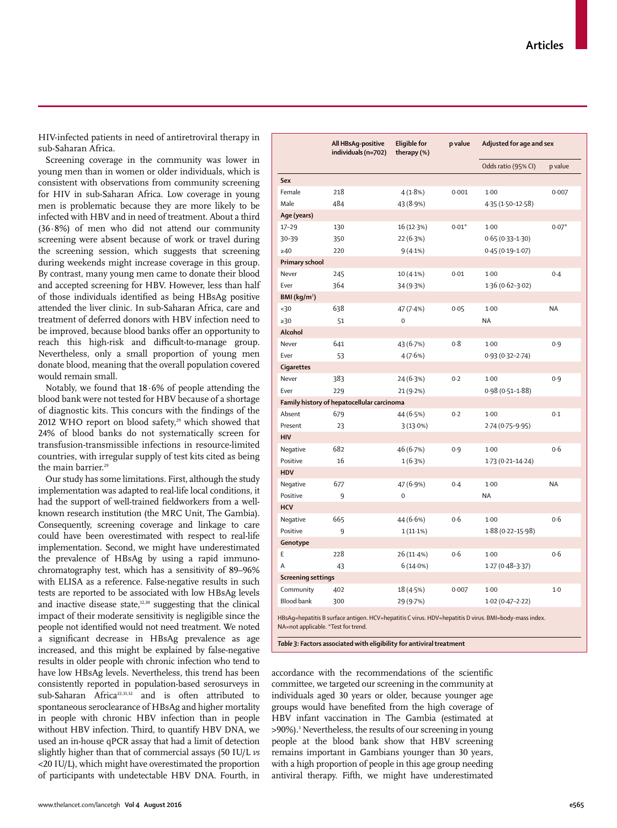HIV-infected patients in need of antiretroviral therapy in sub-Saharan Africa.

Screening coverage in the community was lower in young men than in women or older individuals, which is consistent with observations from community screening for HIV in sub-Saharan Africa. Low coverage in young men is problematic because they are more likely to be infected with HBV and in need of treatment. About a third (36·8%) of men who did not attend our community screening were absent because of work or travel during the screening session, which suggests that screening during weekends might increase coverage in this group. By contrast, many young men came to donate their blood and accepted screening for HBV. However, less than half of those individuals identified as being HBsAg positive attended the liver clinic. In sub-Saharan Africa, care and treatment of deferred donors with HBV infection need to be improved, because blood banks offer an opportunity to reach this high-risk and difficult-to-manage group. Nevertheless, only a small proportion of young men donate blood, meaning that the overall population covered would remain small.

Notably, we found that 18·6% of people attending the blood bank were not tested for HBV because of a shortage of diagnostic kits. This concurs with the findings of the 2012 WHO report on blood safety,<sup>29</sup> which showed that 24% of blood banks do not systematically screen for transfusion-transmissible infections in resource-limited countries, with irregular supply of test kits cited as being the main barrier.<sup>29</sup>

Our study has some limitations. First, although the study implementation was adapted to real-life local conditions, it had the support of well-trained fieldworkers from a wellknown research institution (the MRC Unit, The Gambia). Consequently, screening coverage and linkage to care could have been overestimated with respect to real-life implementation. Second, we might have underestimated the prevalence of HBsAg by using a rapid immunochromatography test, which has a sensitivity of 89–96% with ELISA as a reference. False-negative results in such tests are reported to be associated with low HBsAg levels and inactive disease state, $12,30$  suggesting that the clinical impact of their moderate sensitivity is negligible since the people not identified would not need treatment. We noted a significant decrease in HBsAg prevalence as age increased, and this might be explained by false-negative results in older people with chronic infection who tend to have low HBsAg levels. Nevertheless, this trend has been consistently reported in population-based serosurveys in sub-Saharan Africa22,31,32 and is often attributed to spontaneous seroclearance of HBsAg and higher mortality in people with chronic HBV infection than in people without HBV infection. Third, to quantify HBV DNA, we used an in-house qPCR assay that had a limit of detection slightly higher than that of commercial assays (50 IU/L *vs* <20 IU/L), which might have overestimated the proportion of participants with undetectable HBV DNA. Fourth, in

**All HBsAg-positive individuals (n=702) therapy (%) p value Adjusted for age and sex** Odds ratio (95% CI) p value **Sex** Female 218 4 (1·8%) 0·001 1·00 0·007 Male 484 43 (8·9%) 4·35 (1·50-12·58) **Age (years)**  $17-29$  130  $16(12.3%)$   $0.01*$  1 $100$   $0.07*$ 30–39 350 22 (6·3%) 0·65 (0·33–1·30) ≥40 220 9 (4·1%) 0·45 (0·19–1·07) **Primary school** Never 245 10 (4.1%) 0.01 1.00 0.4 Ever 364 34 (9·3%) 1·36 (0·62-3·02) **BMI (kg/m**²**)** <30 638 47 (7·4%) 0·05 1·00 NA ≥30 51 0 NA **Alcohol** Never 641 43 (6-7%) 0-8 1-00 0-9 Ever 53 4 (7·6%) 0·93 (0·32–2·74) **Cigarettes** Never 383 24 (6-3%) 0-2 1-00 0-9 Ever 229 21 (9·2%) 0·98 (0·51–1·88) **Family history of hepatocellular carcinoma** Absent 679 44 (6-5%) 0-2 1-00 0-1 Present 23 3 (13·0%) 2·74 (0·75-9·95) **HIV** Negative 682 46 (6-7%) 0-9 1-00 0-6 Positive 16 1 (6·3%) 1·73 (0·21-14·24) **HDV** Negative 677 47 (6·9%) 0·4 1·00 NA Positive 9 0 0 NA **HCV** Negative 665 44 (6.6%) 0.6 1.00 0.6 Positive 9 1 (11·1%) 1·88 (0·22-15·98) **Genotype** E 228 26 (11·4%) 0·6 1·00 0·6 A 43 6 (14·0%) 1·27 (0·48–3·37) **Screening settings** Community 402 18 (4·5%) 0·007 1·00 1·0 Blood bank 300 29 (9·7%) 1·02 (0·47–2·22) HBsAg=hepatitis B surface antigen. HCV=hepatitis C virus. HDV=hepatitis D virus. BMI=body-mass index. NA=not applicable. \*Test for trend.

**Eligible for** 

*Table 3:* **Factors associated with eligibility for antiviral treatment** 

accordance with the recommendations of the scientific committee, we targeted our screening in the community at individuals aged 30 years or older, because younger age groups would have benefited from the high coverage of HBV infant vaccination in The Gambia (estimated at >90%).<sup>3</sup> Nevertheless, the results of our screening in young people at the blood bank show that HBV screening remains important in Gambians younger than 30 years, with a high proportion of people in this age group needing antiviral therapy. Fifth, we might have underestimated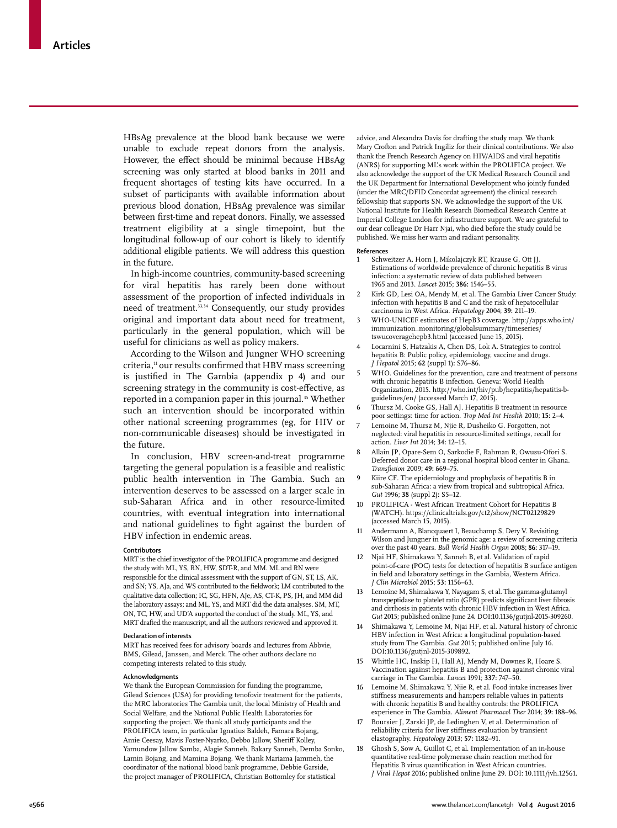HBsAg prevalence at the blood bank because we were unable to exclude repeat donors from the analysis. However, the effect should be minimal because HBsAg screening was only started at blood banks in 2011 and frequent shortages of testing kits have occurred. In a subset of participants with available information about previous blood donation, HBsAg prevalence was similar between first-time and repeat donors. Finally, we assessed treatment eligibility at a single timepoint, but the longitudinal follow-up of our cohort is likely to identify additional eligible patients. We will address this question in the future.

In high-income countries, community-based screening for viral hepatitis has rarely been done without assessment of the proportion of infected individuals in need of treatment.<sup>33,34</sup> Consequently, our study provides original and important data about need for treatment, particularly in the general population, which will be useful for clinicians as well as policy makers.

According to the Wilson and Jungner WHO screening criteria,<sup>11</sup> our results confirmed that HBV mass screening is justified in The Gambia (appendix p 4) and our screening strategy in the community is cost-effective, as reported in a companion paper in this journal.<sup>35</sup> Whether such an intervention should be incorporated within other national screening programmes (eg, for HIV or non-communicable diseases) should be investigated in the future.

In conclusion, HBV screen-and-treat programme targeting the general population is a feasible and realistic public health intervention in The Gambia. Such an intervention deserves to be assessed on a larger scale in sub-Saharan Africa and in other resource-limited countries, with eventual integration into international and national guidelines to fight against the burden of HBV infection in endemic areas.

#### **Contributors**

MRT is the chief investigator of the PROLIFICA programme and designed the study with ML, YS, RN, HW, SDT-R, and MM. ML and RN were responsible for the clinical assessment with the support of GN, ST, LS, AK, and SN; YS, AJa, and WS contributed to the fieldwork; LM contributed to the qualitative data collection; IC, SG, HFN, AJe, AS, CT-K, PS, JH, and MM did the laboratory assays; and ML, YS, and MRT did the data analyses. SM, MT, ON, TC, HW, and UD'A supported the conduct of the study. ML, YS, and MRT drafted the manuscript, and all the authors reviewed and approved it.

#### **Declaration of interests**

MRT has received fees for advisory boards and lectures from Abbvie, BMS, Gilead, Janssen, and Merck. The other authors declare no competing interests related to this study.

### **Acknowledgments**

We thank the European Commission for funding the programme, Gilead Sciences (USA) for providing tenofovir treatment for the patients, the MRC laboratories The Gambia unit, the local Ministry of Health and Social Welfare, and the National Public Health Laboratories for supporting the project. We thank all study participants and the PROLIFICA team, in particular Ignatius Baldeh, Famara Bojang, Amie Ceesay, Mavis Foster-Nyarko, Debbo Jallow, Sheriff Kolley, Yamundow Jallow Samba, Alagie Sanneh, Bakary Sanneh, Demba Sonko, Lamin Bojang, and Mamina Bojang. We thank Mariama Jammeh, the coordinator of the national blood bank programme, Debbie Garside, the project manager of PROLIFICA, Christian Bottomley for statistical

advice, and Alexandra Davis for drafting the study map. We thank Mary Crofton and Patrick Ingiliz for their clinical contributions. We also thank the French Research Agency on HIV/AIDS and viral hepatitis (ANRS) for supporting ML's work within the PROLIFICA project. We also acknowledge the support of the UK Medical Research Council and the UK Department for International Development who jointly funded (under the MRC/DFID Concordat agreement) the clinical research fellowship that supports SN. We acknowledge the support of the UK National Institute for Health Research Biomedical Research Centre at Imperial College London for infrastructure support. We are grateful to our dear colleague Dr Harr Njai, who died before the study could be published. We miss her warm and radiant personality.

#### **References**

- Schweitzer A, Horn J, Mikolajczyk RT, Krause G, Ott JJ. Estimations of worldwide prevalence of chronic hepatitis B virus infection: a systematic review of data published between 1965 and 2013. *Lancet* 2015; **386:** 1546–55.
- 2 Kirk GD, Lesi OA, Mendy M, et al. The Gambia Liver Cancer Study: infection with hepatitis B and C and the risk of hepatocellular carcinoma in West Africa. *Hepatology* 2004; **39:** 211–19.
- 3 WHO-UNICEF estimates of HepB3 coverage. http://apps.who.int/ immunization\_monitoring/globalsummary/timeseries/ tswucoveragehepb3.html (accessed June 15, 2015).
- 4 Locarnini S, Hatzakis A, Chen DS, Lok A. Strategies to control hepatitis B: Public policy, epidemiology, vaccine and drugs. *J Hepatol* 2015; **62** (suppl 1)**:** S76–86.
- WHO. Guidelines for the prevention, care and treatment of persons with chronic hepatitis B infection. Geneva: World Health Organization, 2015. http://who.int/hiv/pub/hepatitis/hepatitis-bguidelines/en/ (accessed March 17, 2015).
- Thursz M, Cooke GS, Hall AJ. Hepatitis B treatment in resource poor settings: time for action. *Trop Med Int Health* 2010; **15:** 2–4.
- Lemoine M, Thursz M, Njie R, Dusheiko G. Forgotten, not neglected: viral hepatitis in resource-limited settings, recall for action. *Liver Int* 2014; **34:** 12–15.
- 8 Allain JP, Opare-Sem O, Sarkodie F, Rahman R, Owusu-Ofori S. Deferred donor care in a regional hospital blood center in Ghana. *Transfusion* 2009; **49:** 669–75.
- 9 Kiire CF. The epidemiology and prophylaxis of hepatitis B in sub-Saharan Africa: a view from tropical and subtropical Africa. *Gut* 1996; **38** (suppl 2)**:** S5–12.
- 10 PROLIFICA West African Treatment Cohort for Hepatitis B (WATCH). https://clinicaltrials.gov/ct2/show/NCT02129829 (accessed March 15, 2015).
- 11 Andermann A, Blancquaert I, Beauchamp S, Dery V. Revisiting Wilson and Jungner in the genomic age: a review of screening criteria over the past 40 years. *Bull World Health Organ* 2008; **86:** 317–19.
- 12 Njai HF, Shimakawa Y, Sanneh B, et al. Validation of rapid point-of-care (POC) tests for detection of hepatitis B surface antigen in field and laboratory settings in the Gambia, Western Africa. *J Clin Microbiol* 2015; **53:** 1156–63.
- 13 Lemoine M, Shimakawa Y, Nayagam S, et al. The gamma-glutamyl transpeptidase to platelet ratio (GPR) predicts significant liver fibrosis and cirrhosis in patients with chronic HBV infection in West Africa. *Gut* 2015; published online June 24. DOI:10.1136/gutjnl-2015-309260.
- Shimakawa Y, Lemoine M, Njai HF, et al. Natural history of chronic HBV infection in West Africa: a longitudinal population-based study from The Gambia. *Gut* 2015; published online July 16. DOI:10.1136/gutjnl-2015-309892.
- 15 Whittle HC, Inskip H, Hall AJ, Mendy M, Downes R, Hoare S. Vaccination against hepatitis B and protection against chronic viral carriage in The Gambia. *Lancet* 1991; **337:** 747–50.
- Lemoine M, Shimakawa Y, Njie R, et al. Food intake increases liver stiffness measurements and hampers reliable values in patients with chronic hepatitis B and healthy controls: the PROLIFICA experience in The Gambia. *Aliment Pharmacol Ther* 2014; **39:** 188–96.
- 17 Boursier J, Zarski JP, de Ledinghen V, et al. Determination of reliability criteria for liver stiffness evaluation by transient elastography. *Hepatology* 2013; **57:** 1182–91.
- 18 Ghosh S, Sow A, Guillot C, et al. Implementation of an in-house quantitative real-time polymerase chain reaction method for Hepatitis B virus quantification in West African countries. *J Viral Hepat* 2016; published online June 29. DOI: 10.1111/jvh.12561.